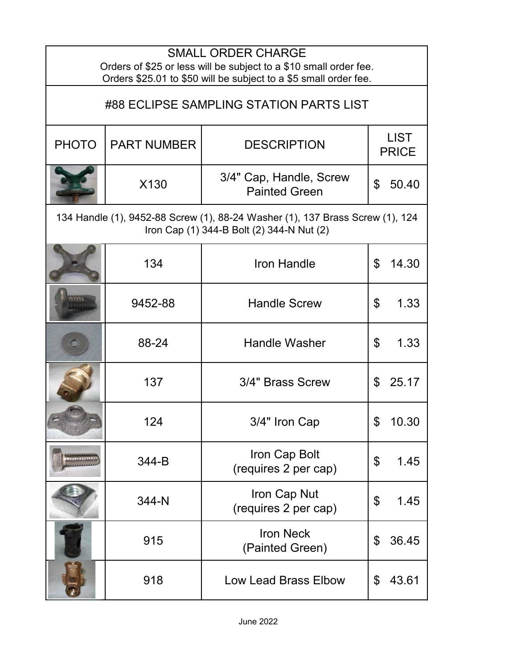| <b>SMALL ORDER CHARGE</b><br>Orders of \$25 or less will be subject to a \$10 small order fee.<br>Orders \$25.01 to \$50 will be subject to a \$5 small order fee. |                    |                                                 |                             |  |  |
|--------------------------------------------------------------------------------------------------------------------------------------------------------------------|--------------------|-------------------------------------------------|-----------------------------|--|--|
| #88 ECLIPSE SAMPLING STATION PARTS LIST                                                                                                                            |                    |                                                 |                             |  |  |
| <b>PHOTO</b>                                                                                                                                                       | <b>PART NUMBER</b> | <b>DESCRIPTION</b>                              | <b>LIST</b><br><b>PRICE</b> |  |  |
|                                                                                                                                                                    | X130               | 3/4" Cap, Handle, Screw<br><b>Painted Green</b> | $\mathfrak{L}$<br>50.40     |  |  |
| 134 Handle (1), 9452-88 Screw (1), 88-24 Washer (1), 137 Brass Screw (1), 124<br>Iron Cap (1) 344-B Bolt (2) 344-N Nut (2)                                         |                    |                                                 |                             |  |  |
|                                                                                                                                                                    | 134                | Iron Handle                                     | \$<br>14.30                 |  |  |
|                                                                                                                                                                    | 9452-88            | <b>Handle Screw</b>                             | \$<br>1.33                  |  |  |
|                                                                                                                                                                    | 88-24              | <b>Handle Washer</b>                            | \$<br>1.33                  |  |  |
|                                                                                                                                                                    | 137                | 3/4" Brass Screw                                | 25.17<br>\$                 |  |  |
|                                                                                                                                                                    | 124                | 3/4" Iron Cap                                   | ፍ<br>10.30                  |  |  |
|                                                                                                                                                                    | 344-B              | Iron Cap Bolt<br>(requires 2 per cap)           | \$<br>1.45                  |  |  |
|                                                                                                                                                                    | 344-N              | Iron Cap Nut<br>(requires 2 per cap)            | \$<br>1.45                  |  |  |
|                                                                                                                                                                    | 915                | <b>Iron Neck</b><br>(Painted Green)             | 36.45<br>\$                 |  |  |
|                                                                                                                                                                    | 918                | <b>Low Lead Brass Elbow</b>                     | 43.61<br>\$                 |  |  |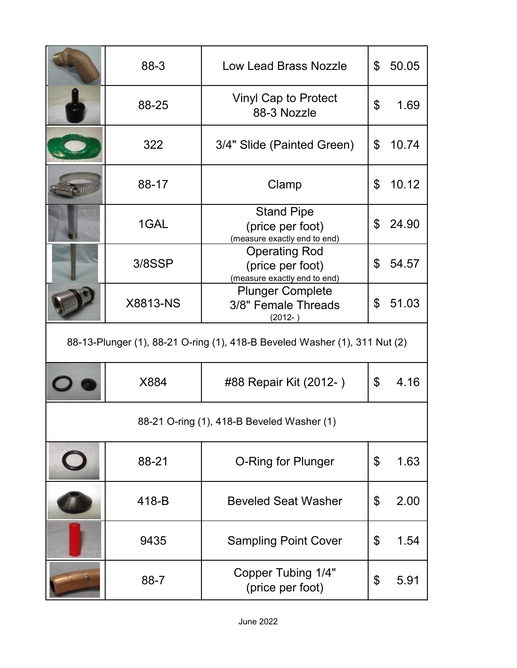|                                                                            | 88-3            | <b>Low Lead Brass Nozzle</b>                                             | \$             | 50.05 |
|----------------------------------------------------------------------------|-----------------|--------------------------------------------------------------------------|----------------|-------|
|                                                                            | 88-25           | <b>Vinyl Cap to Protect</b><br>88-3 Nozzle                               | $\mathfrak{L}$ | 1.69  |
|                                                                            | 322             | 3/4" Slide (Painted Green)                                               | \$             | 10.74 |
|                                                                            | 88-17           | Clamp                                                                    | \$             | 10.12 |
|                                                                            | 1GAL            | <b>Stand Pipe</b><br>(price per foot)<br>(measure exactly end to end)    | \$             | 24.90 |
|                                                                            | 3/8SSP          | <b>Operating Rod</b><br>(price per foot)<br>(measure exactly end to end) | \$             | 54.57 |
|                                                                            | <b>X8813-NS</b> | <b>Plunger Complete</b><br>3/8" Female Threads<br>$(2012 - )$            | \$             | 51.03 |
| 88-13-Plunger (1), 88-21 O-ring (1), 418-B Beveled Washer (1), 311 Nut (2) |                 |                                                                          |                |       |
|                                                                            |                 |                                                                          |                |       |
|                                                                            | X884            | #88 Repair Kit (2012-)                                                   | \$             | 4.16  |
|                                                                            |                 | 88-21 O-ring (1), 418-B Beveled Washer (1)                               |                |       |
|                                                                            | 88-21           | <b>O-Ring for Plunger</b>                                                | \$             | 1.63  |
|                                                                            | 418-B           | <b>Beveled Seat Washer</b>                                               | \$             | 2.00  |
|                                                                            | 9435            | <b>Sampling Point Cover</b>                                              | \$             | 1.54  |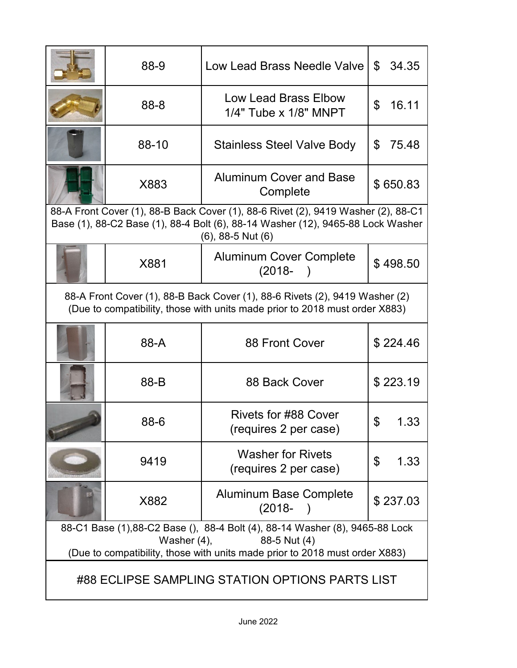|                                                                                                                                                                                                | 88-9  | Low Lead Brass Needle Valve                       | \$<br>34.35 |  |
|------------------------------------------------------------------------------------------------------------------------------------------------------------------------------------------------|-------|---------------------------------------------------|-------------|--|
|                                                                                                                                                                                                | 88-8  | Low Lead Brass Elbow<br>$1/4"$ Tube x $1/8"$ MNPT | \$<br>16.11 |  |
|                                                                                                                                                                                                | 88-10 | <b>Stainless Steel Valve Body</b>                 | \$<br>75.48 |  |
|                                                                                                                                                                                                | X883  | <b>Aluminum Cover and Base</b><br>Complete        | \$650.83    |  |
| 88-A Front Cover (1), 88-B Back Cover (1), 88-6 Rivet (2), 9419 Washer (2), 88-C1<br>Base (1), 88-C2 Base (1), 88-4 Bolt (6), 88-14 Washer (12), 9465-88 Lock Washer<br>$(6)$ , 88-5 Nut $(6)$ |       |                                                   |             |  |
|                                                                                                                                                                                                | X881  | <b>Aluminum Cover Complete</b><br>$(2018 -$       | \$498.50    |  |
| 88-A Front Cover (1), 88-B Back Cover (1), 88-6 Rivets (2), 9419 Washer (2)<br>(Due to compatibility, those with units made prior to 2018 must order X883)                                     |       |                                                   |             |  |
|                                                                                                                                                                                                | 88-A  | 88 Front Cover                                    | \$224.46    |  |
|                                                                                                                                                                                                | 88-B  | 88 Back Cover                                     | \$223.19    |  |
|                                                                                                                                                                                                | 88-6  | Rivets for #88 Cover<br>(requires 2 per case)     |             |  |
|                                                                                                                                                                                                | 9419  | <b>Washer for Rivets</b><br>(requires 2 per case) | \$<br>1.33  |  |
|                                                                                                                                                                                                | X882  | <b>Aluminum Base Complete</b><br>$(2018 -$        | \$237.03    |  |
| 88-C1 Base (1),88-C2 Base (), 88-4 Bolt (4), 88-14 Washer (8), 9465-88 Lock<br>Washer $(4)$ ,<br>88-5 Nut (4)<br>(Due to compatibility, those with units made prior to 2018 must order X883)   |       |                                                   |             |  |
| #88 ECLIPSE SAMPLING STATION OPTIONS PARTS LIST                                                                                                                                                |       |                                                   |             |  |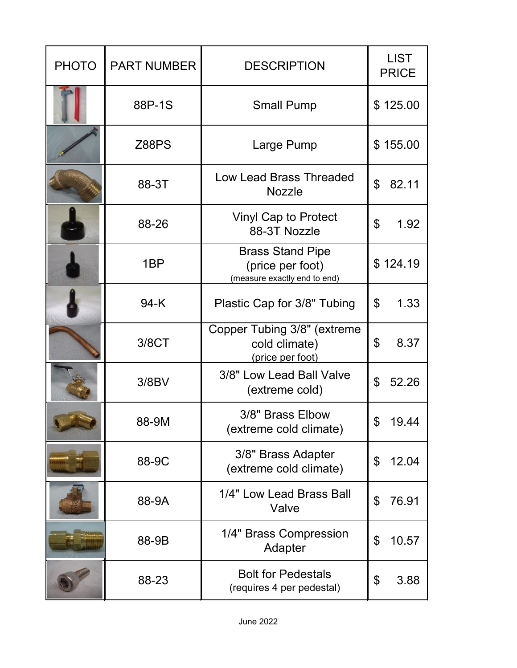| <b>PHOTO</b> | <b>PART NUMBER</b> | <b>DESCRIPTION</b>                                                          | <b>LIST</b><br><b>PRICE</b> |  |
|--------------|--------------------|-----------------------------------------------------------------------------|-----------------------------|--|
|              | 88P-1S             | <b>Small Pump</b>                                                           | \$125.00                    |  |
|              | <b>Z88PS</b>       | Large Pump                                                                  | \$155.00                    |  |
|              | 88-3T              | <b>Low Lead Brass Threaded</b><br><b>Nozzle</b>                             | \$<br>82.11                 |  |
|              | 88-26              | <b>Vinyl Cap to Protect</b><br>88-3T Nozzle                                 | \$<br>1.92                  |  |
|              | 1 <sub>BP</sub>    | <b>Brass Stand Pipe</b><br>(price per foot)<br>(measure exactly end to end) | \$124.19                    |  |
|              | 94-K               | Plastic Cap for 3/8" Tubing                                                 | \$<br>1.33                  |  |
|              | 3/8CT              | Copper Tubing 3/8" (extreme<br>cold climate)<br>(price per foot)            | $\mathfrak{P}$<br>8.37      |  |
|              | 3/8BV              | 3/8" Low Lead Ball Valve<br>(extreme cold)                                  | \$<br>52.26                 |  |
|              | 88-9M              | 3/8" Brass Elbow<br>(extreme cold climate)                                  | \$.<br>19.44                |  |
|              | 88-9C              | 3/8" Brass Adapter<br>(extreme cold climate)                                | \$<br>12.04                 |  |
|              | 88-9A              | 1/4" Low Lead Brass Ball<br>Valve                                           | \$<br>76.91                 |  |
|              | 88-9B              | 1/4" Brass Compression<br>Adapter                                           | \$<br>10.57                 |  |
|              | 88-23              | <b>Bolt for Pedestals</b><br>(requires 4 per pedestal)                      | \$<br>3.88                  |  |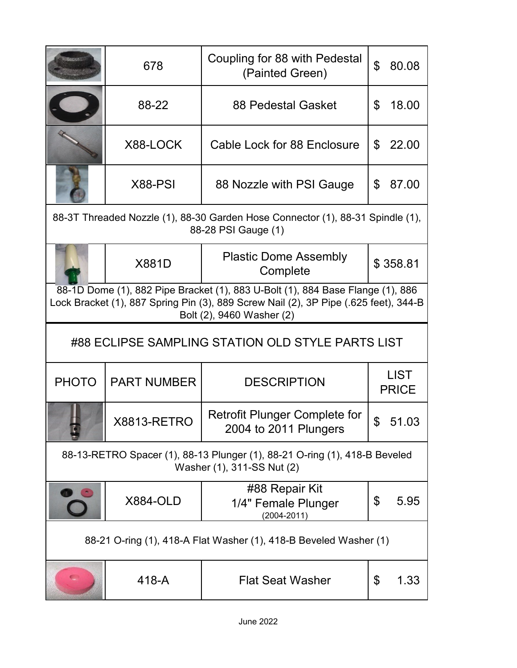|                                                                                                                                                                                                     | 678                | Coupling for 88 with Pedestal<br>(Painted Green)                                                         | $\mathfrak{L}$<br>80.08     |  |
|-----------------------------------------------------------------------------------------------------------------------------------------------------------------------------------------------------|--------------------|----------------------------------------------------------------------------------------------------------|-----------------------------|--|
|                                                                                                                                                                                                     | 88-22              | <b>88 Pedestal Gasket</b>                                                                                | \$<br>18.00                 |  |
|                                                                                                                                                                                                     | X88-LOCK           | Cable Lock for 88 Enclosure                                                                              | 22.00<br>\$                 |  |
|                                                                                                                                                                                                     | X88-PSI            | 88 Nozzle with PSI Gauge                                                                                 | \$<br>87.00                 |  |
| 88-3T Threaded Nozzle (1), 88-30 Garden Hose Connector (1), 88-31 Spindle (1),<br>88-28 PSI Gauge (1)                                                                                               |                    |                                                                                                          |                             |  |
|                                                                                                                                                                                                     | <b>X881D</b>       | <b>Plastic Dome Assembly</b><br>Complete                                                                 | \$358.81                    |  |
| 88-1D Dome (1), 882 Pipe Bracket (1), 883 U-Bolt (1), 884 Base Flange (1), 886<br>Lock Bracket (1), 887 Spring Pin (3), 889 Screw Nail (2), 3P Pipe (.625 feet), 344-B<br>Bolt (2), 9460 Washer (2) |                    |                                                                                                          |                             |  |
| #88 ECLIPSE SAMPLING STATION OLD STYLE PARTS LIST                                                                                                                                                   |                    |                                                                                                          |                             |  |
|                                                                                                                                                                                                     |                    |                                                                                                          |                             |  |
| <b>PHOTO</b>                                                                                                                                                                                        | <b>PART NUMBER</b> | <b>DESCRIPTION</b>                                                                                       | <b>LIST</b><br><b>PRICE</b> |  |
|                                                                                                                                                                                                     | <b>X8813-RETRO</b> | <b>Retrofit Plunger Complete for</b><br>2004 to 2011 Plungers                                            | 51.03                       |  |
|                                                                                                                                                                                                     |                    | 88-13-RETRO Spacer (1), 88-13 Plunger (1), 88-21 O-ring (1), 418-B Beveled<br>Washer (1), 311-SS Nut (2) |                             |  |
|                                                                                                                                                                                                     | <b>X884-OLD</b>    | #88 Repair Kit<br>1/4" Female Plunger<br>$(2004 - 2011)$                                                 | \$<br>5.95                  |  |
|                                                                                                                                                                                                     |                    | 88-21 O-ring (1), 418-A Flat Washer (1), 418-B Beveled Washer (1)                                        |                             |  |